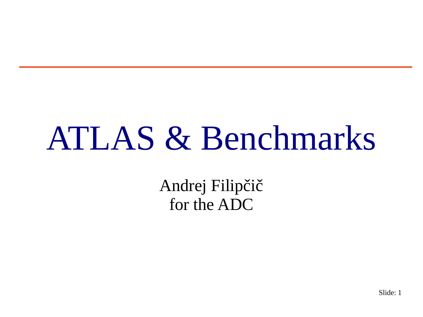# ATLAS & Benchmarks

Andrej Filipčič for the ADC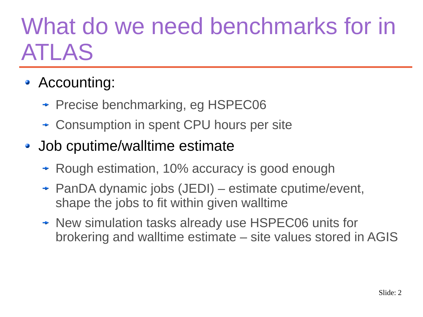## What do we need benchmarks for in ATLAS

### • Accounting:

- Precise benchmarking, eg HSPEC06
- Consumption in spent CPU hours per site
- Job cputime/walltime estimate
	- Rough estimation, 10% accuracy is good enough
	- PanDA dynamic jobs (JEDI) estimate cputime/event, shape the jobs to fit within given walltime
	- New simulation tasks already use HSPEC06 units for brokering and walltime estimate – site values stored in AGIS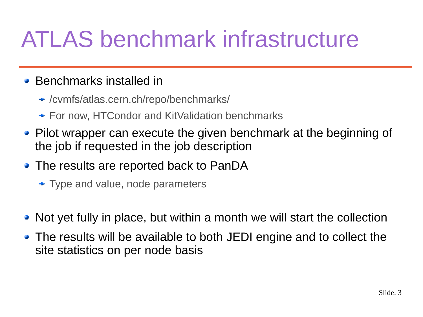### ATLAS benchmark infrastructure

#### • Benchmarks installed in

- /cvmfs/atlas.cern.ch/repo/benchmarks/
- **→ For now, HTCondor and KitValidation benchmarks**
- Pilot wrapper can execute the given benchmark at the beginning of the job if requested in the job description
- The results are reported back to PanDA
	- Type and value, node parameters
- Not yet fully in place, but within a month we will start the collection
- The results will be available to both JEDI engine and to collect the site statistics on per node basis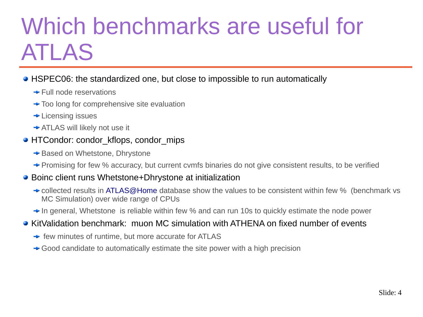### Which benchmarks are useful for ATLAS

#### HSPEC06: the standardized one, but close to impossible to run automatically

- $\div$  Full node reservations
- $\rightarrow$  Too long for comprehensive site evaluation
- $\rightarrow$  Licensing issues
- **ATLAS will likely not use it**

#### • HTCondor: condor kflops, condor mips

- **→ Based on Whetstone, Dhrystone**
- **-** Promising for few % accuracy, but current cymfs binaries do not give consistent results, to be verified

#### ● Boinc client runs Whetstone+Dhrystone at initialization

- **→ collected results in [ATLAS@Home](mailto:ATLAS@Home) database show the values to be consistent within few % (benchmark vs** MC Simulation) over wide range of CPUs
- $\rightarrow$  In general, Whetstone is reliable within few % and can run 10s to quickly estimate the node power

#### • KitValidation benchmark: muon MC simulation with ATHENA on fixed number of events

- $\rightarrow$  few minutes of runtime, but more accurate for ATLAS
- Good candidate to automatically estimate the site power with a high precision